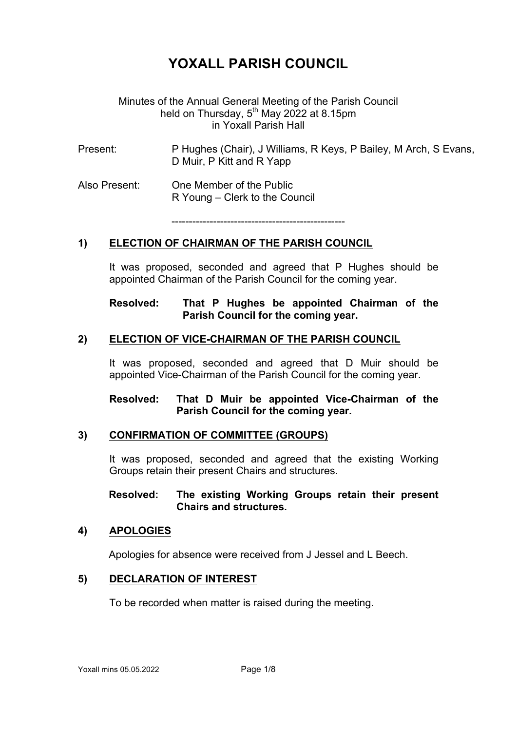# **YOXALL PARISH COUNCIL**

## Minutes of the Annual General Meeting of the Parish Council held on Thursday,  $5^{th}$  May 2022 at 8.15pm in Yoxall Parish Hall

- Present: P Hughes (Chair), J Williams, R Keys, P Bailey, M Arch, S Evans, D Muir, P Kitt and R Yapp
- Also Present: One Member of the Public R Young – Clerk to the Council

--------------------------------------------------

## **1) ELECTION OF CHAIRMAN OF THE PARISH COUNCIL**

It was proposed, seconded and agreed that P Hughes should be appointed Chairman of the Parish Council for the coming year.

## **Resolved: That P Hughes be appointed Chairman of the Parish Council for the coming year.**

#### **2) ELECTION OF VICE-CHAIRMAN OF THE PARISH COUNCIL**

It was proposed, seconded and agreed that D Muir should be appointed Vice-Chairman of the Parish Council for the coming year.

## **Resolved: That D Muir be appointed Vice-Chairman of the Parish Council for the coming year.**

## **3) CONFIRMATION OF COMMITTEE (GROUPS)**

It was proposed, seconded and agreed that the existing Working Groups retain their present Chairs and structures.

#### **Resolved: The existing Working Groups retain their present Chairs and structures.**

#### **4) APOLOGIES**

Apologies for absence were received from J Jessel and L Beech.

#### **5) DECLARATION OF INTEREST**

To be recorded when matter is raised during the meeting.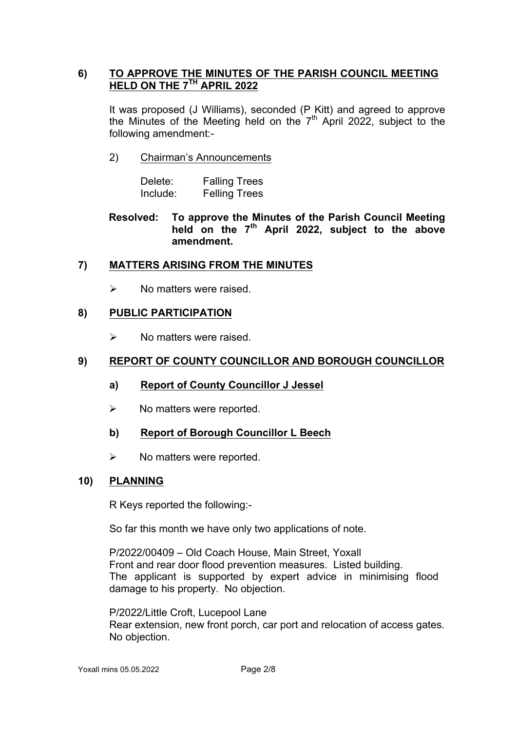# **6) TO APPROVE THE MINUTES OF THE PARISH COUNCIL MEETING HELD ON THE 7TH APRIL 2022**

It was proposed (J Williams), seconded (P Kitt) and agreed to approve the Minutes of the Meeting held on the  $7<sup>th</sup>$  April 2022, subject to the following amendment:-

# 2) Chairman's Announcements

| Delete:  | <b>Falling Trees</b> |
|----------|----------------------|
| Include: | <b>Felling Trees</b> |

**Resolved: To approve the Minutes of the Parish Council Meeting held on the 7th April 2022, subject to the above amendment.** 

# **7) MATTERS ARISING FROM THE MINUTES**

 $\triangleright$  No matters were raised.

# **8) PUBLIC PARTICIPATION**

 $\triangleright$  No matters were raised.

# **9) REPORT OF COUNTY COUNCILLOR AND BOROUGH COUNCILLOR**

- **a) Report of County Councillor J Jessel**
- $\triangleright$  No matters were reported.

## **b) Report of Borough Councillor L Beech**

 $\triangleright$  No matters were reported.

## **10) PLANNING**

R Keys reported the following:-

So far this month we have only two applications of note.

P/2022/00409 – Old Coach House, Main Street, Yoxall Front and rear door flood prevention measures. Listed building. The applicant is supported by expert advice in minimising flood damage to his property. No objection.

P/2022/Little Croft, Lucepool Lane Rear extension, new front porch, car port and relocation of access gates. No objection.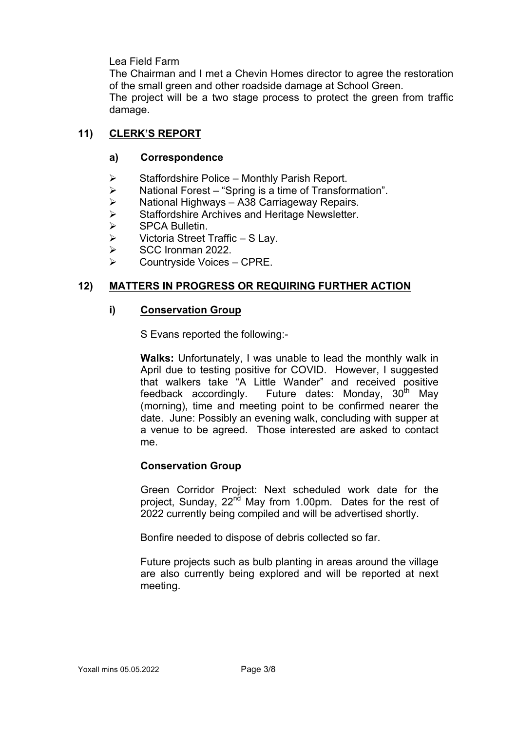## Lea Field Farm

The Chairman and I met a Chevin Homes director to agree the restoration of the small green and other roadside damage at School Green. The project will be a two stage process to protect the green from traffic damage.

#### **11) CLERK'S REPORT**

#### **a) Correspondence**

- $\triangleright$  Staffordshire Police Monthly Parish Report.
- $\geq$  National Forest "Spring is a time of Transformation".<br> $\geq$  National Highways A38 Carriageway Repairs.
- 
- **► National Highways A38 Carriageway Repairs.**<br>► Staffordshire Archives and Heritage Newsletter.<br>► SPCA Bulletin. Staffordshire Archives and Heritage Newsletter.
- SPCA Bulletin.
- $\triangleright$  Victoria Street Traffic S Lay.
- $\triangleright$  SCC Ironman 2022.
- $\triangleright$  Countryside Voices CPRE.

#### **12) MATTERS IN PROGRESS OR REQUIRING FURTHER ACTION**

#### **i) Conservation Group**

S Evans reported the following:-

**Walks:** Unfortunately, I was unable to lead the monthly walk in April due to testing positive for COVID. However, I suggested that walkers take "A Little Wander" and received positive feedback accordingly. Future dates: Monday,  $30<sup>th</sup>$  May (morning), time and meeting point to be confirmed nearer the date. June: Possibly an evening walk, concluding with supper at a venue to be agreed. Those interested are asked to contact me.

#### **Conservation Group**

Green Corridor Project: Next scheduled work date for the project, Sunday, 22<sup>nd</sup> May from 1.00pm. Dates for the rest of 2022 currently being compiled and will be advertised shortly.

Bonfire needed to dispose of debris collected so far.

Future projects such as bulb planting in areas around the village are also currently being explored and will be reported at next meeting.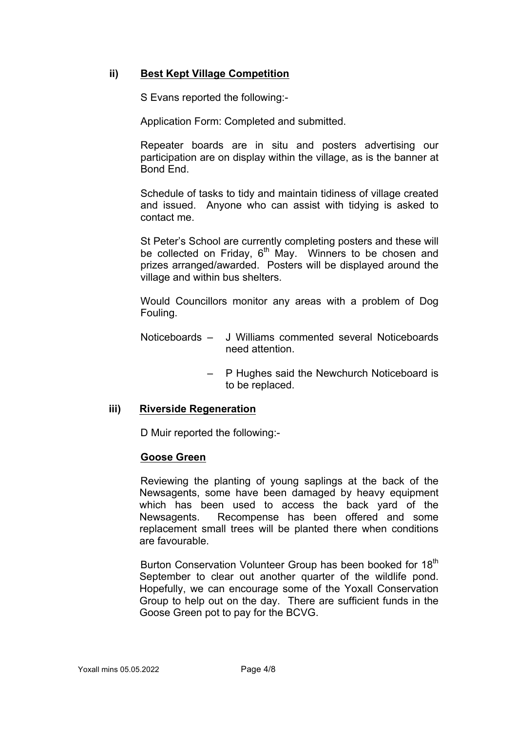# **ii) Best Kept Village Competition**

S Evans reported the following:-

Application Form: Completed and submitted.

Repeater boards are in situ and posters advertising our participation are on display within the village, as is the banner at Bond End.

Schedule of tasks to tidy and maintain tidiness of village created and issued. Anyone who can assist with tidying is asked to contact me.

St Peter's School are currently completing posters and these will be collected on Friday,  $6<sup>th</sup>$  May. Winners to be chosen and prizes arranged/awarded. Posters will be displayed around the village and within bus shelters.

Would Councillors monitor any areas with a problem of Dog Fouling.

- Noticeboards J Williams commented several Noticeboards need attention.
	- P Hughes said the Newchurch Noticeboard is to be replaced.

## **iii) Riverside Regeneration**

D Muir reported the following:-

## **Goose Green**

Reviewing the planting of young saplings at the back of the Newsagents, some have been damaged by heavy equipment which has been used to access the back yard of the Newsagents. Recompense has been offered and some replacement small trees will be planted there when conditions are favourable.

Burton Conservation Volunteer Group has been booked for 18<sup>th</sup> September to clear out another quarter of the wildlife pond. Hopefully, we can encourage some of the Yoxall Conservation Group to help out on the day. There are sufficient funds in the Goose Green pot to pay for the BCVG.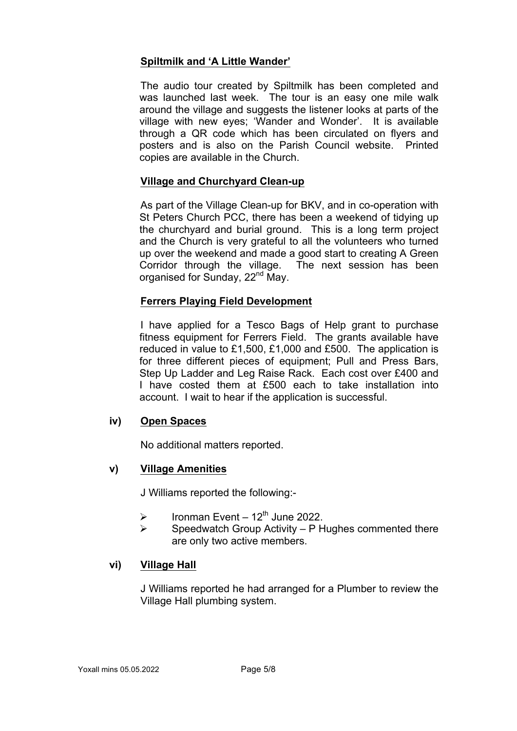# **Spiltmilk and 'A Little Wander'**

The audio tour created by Spiltmilk has been completed and was launched last week. The tour is an easy one mile walk around the village and suggests the listener looks at parts of the village with new eyes; 'Wander and Wonder'. It is available through a QR code which has been circulated on flyers and posters and is also on the Parish Council website. Printed copies are available in the Church.

# **Village and Churchyard Clean-up**

As part of the Village Clean-up for BKV, and in co-operation with St Peters Church PCC, there has been a weekend of tidying up the churchyard and burial ground. This is a long term project and the Church is very grateful to all the volunteers who turned up over the weekend and made a good start to creating A Green Corridor through the village. The next session has been organised for Sunday, 22<sup>nd</sup> May.

# **Ferrers Playing Field Development**

I have applied for a Tesco Bags of Help grant to purchase fitness equipment for Ferrers Field. The grants available have reduced in value to £1,500, £1,000 and £500. The application is for three different pieces of equipment; Pull and Press Bars, Step Up Ladder and Leg Raise Rack. Each cost over £400 and I have costed them at £500 each to take installation into account. I wait to hear if the application is successful.

## **iv) Open Spaces**

No additional matters reported.

## **v) Village Amenities**

J Williams reported the following:-

- $\triangleright$  Ironman Event 12<sup>th</sup> June 2022.
- $\triangleright$  Speedwatch Group Activity P Hughes commented there are only two active members.

## **vi) Village Hall**

J Williams reported he had arranged for a Plumber to review the Village Hall plumbing system.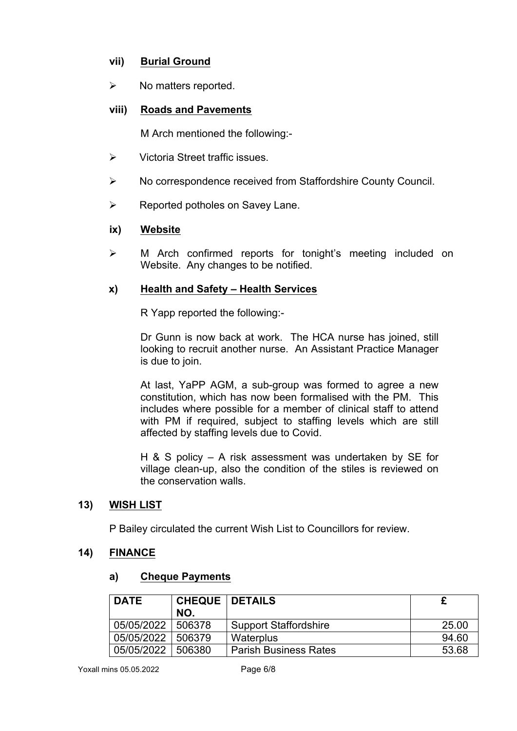# **vii) Burial Ground**

 $\triangleright$  No matters reported.

# **viii) Roads and Pavements**

M Arch mentioned the following:-

- $\triangleright$  Victoria Street traffic issues.
- Ø No correspondence received from Staffordshire County Council.
- $\triangleright$  Reported potholes on Savey Lane.

## **ix) Website**

 $\triangleright$  M Arch confirmed reports for tonight's meeting included on Website. Any changes to be notified.

## **x) Health and Safety – Health Services**

R Yapp reported the following:-

Dr Gunn is now back at work. The HCA nurse has joined, still looking to recruit another nurse. An Assistant Practice Manager is due to join.

At last, YaPP AGM, a sub-group was formed to agree a new constitution, which has now been formalised with the PM. This includes where possible for a member of clinical staff to attend with PM if required, subject to staffing levels which are still affected by staffing levels due to Covid.

H & S policy – A risk assessment was undertaken by SE for village clean-up, also the condition of the stiles is reviewed on the conservation walls.

## **13) WISH LIST**

P Bailey circulated the current Wish List to Councillors for review.

## **14) FINANCE**

## **a) Cheque Payments**

| <b>DATE</b> | <b>CHEQUE   DETAILS</b> |                              |       |
|-------------|-------------------------|------------------------------|-------|
|             | NO.                     |                              |       |
| 05/05/2022  | 506378                  | <b>Support Staffordshire</b> | 25.00 |
| 05/05/2022  | 506379                  | Waterplus                    | 94.60 |
| 05/05/2022  | 506380                  | <b>Parish Business Rates</b> | 53.68 |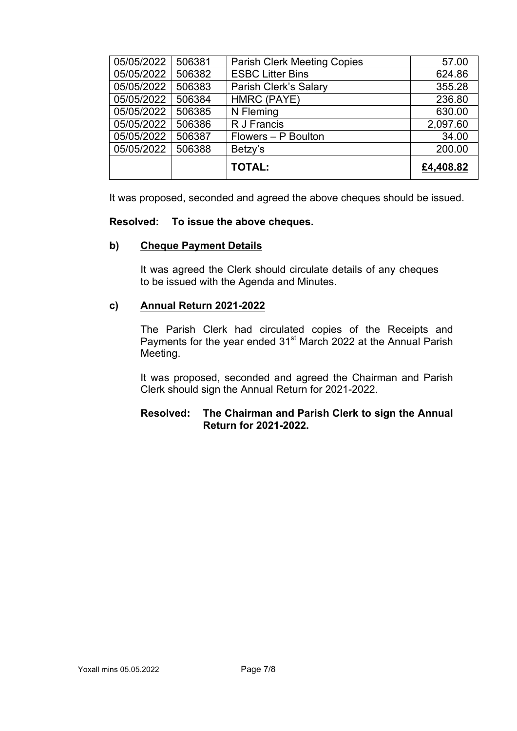| 05/05/2022 | 506381 | <b>Parish Clerk Meeting Copies</b> | 57.00     |
|------------|--------|------------------------------------|-----------|
| 05/05/2022 | 506382 | <b>ESBC Litter Bins</b>            | 624.86    |
| 05/05/2022 | 506383 | Parish Clerk's Salary              | 355.28    |
| 05/05/2022 | 506384 | HMRC (PAYE)                        | 236.80    |
| 05/05/2022 | 506385 | N Fleming                          | 630.00    |
| 05/05/2022 | 506386 | R J Francis                        | 2,097.60  |
| 05/05/2022 | 506387 | Flowers - P Boulton                | 34.00     |
| 05/05/2022 | 506388 | Betzy's                            | 200.00    |
|            |        | <b>TOTAL:</b>                      | £4,408.82 |

It was proposed, seconded and agreed the above cheques should be issued.

## **Resolved: To issue the above cheques.**

#### **b) Cheque Payment Details**

It was agreed the Clerk should circulate details of any cheques to be issued with the Agenda and Minutes.

#### **c) Annual Return 2021-2022**

The Parish Clerk had circulated copies of the Receipts and Payments for the year ended 31st March 2022 at the Annual Parish Meeting.

It was proposed, seconded and agreed the Chairman and Parish Clerk should sign the Annual Return for 2021-2022.

# **Resolved: The Chairman and Parish Clerk to sign the Annual Return for 2021-2022.**